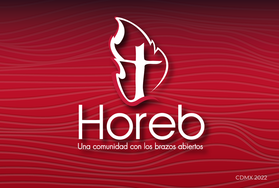# OIE Una comunidad con los brazos abiertos

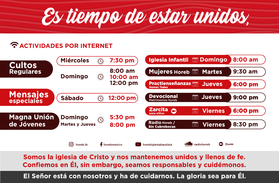

## **CACTIVIDADES POR INTERNET**

| <b>Cultos</b><br><b>Regulares</b> | <b>Miércoles</b><br>$\langle \bigcirc$                         | 7:30 pm                                | 8:00 am<br><b>Iglesia Infantil <b>E</b> Domingo</b>                          |
|-----------------------------------|----------------------------------------------------------------|----------------------------------------|------------------------------------------------------------------------------|
|                                   | <b>Domingo</b>                                                 | 8:00 am<br>10:00 am<br>:Q:<br>12:00 pm | 9:30 am<br><b>Mujeres Horeb <b>E</b> Martes</b>                              |
|                                   |                                                                |                                        | <b>Practienseñanzas</b><br><b>Jueves</b><br>6:00 pm<br><b>Somos Todos</b>    |
| <b>Mensajes</b><br>especiales     | <b>Sábado</b><br>$\langle \widehat{O} \rangle$                 | 12:00 pm)                              | <b>Devocional</b><br>篇<br><b>Jueves</b><br>9:00 pm<br>Matrimonios horeb      |
| <b>Magna Unión</b><br>de Jóvenes  | <b>Domingo</b><br>$\langle \bigcirc$<br><b>Martes y Jueves</b> | 5:30 pm<br>8:00 pm                     | <b>Zarcita</b><br>6:00 pm<br>$\bullet$<br><b>Viernes</b><br>r.<br>para niños |
|                                   |                                                                |                                        | Radio Horeb /<br>Ħ<br>8:30 pm<br>Viernes<br><b>Sin Cubrebocas</b>            |
|                                   | [o]<br>horeb ib                                                | + horebmexico                          | o<br>Zoom<br>radiohoreb<br>horebiglesiabautista                              |

Somos la iglesia de Cristo y nos mantenemos unidos y llenos de fe. Confiemos en Él, sin embargo, seamos responsables y cuidémonos.

El Señor está con nosotros y ha de cuidarnos. La gloria sea para Él.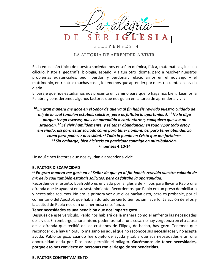

### LA ALEGRÍA DE APRENDER A VIVIR

En la educación típica de nuestra sociedad nos enseñan química, física, matemáticas, incluso cálculo, historia, geografía, biología, español y algún otro idioma, pero a resolver nuestros problemas existenciales, pedir perdón y perdonar, relacionarnos en el noviazgo y el matrimonio, entre otras muchas cosas, lo tenemos que aprender por nuestra cuenta en la vida diaria.

El pasaje que hoy estudiamos nos presenta un camino para que lo hagamos bien. Leamos la Palabra y consideremos algunos factores que nos guían en la tarea de aprender a vivir:

<sup>10</sup> En gran manera me gocé en el Señor de que ya al fin habéis revivido vuestro cuidado de mí; de lo cual también estabais solícitos, pero os faltaba la oportunidad. <sup>11</sup> No lo digo porque tenga escasez, pues he aprendido a contentarme, cualquiera que sea mi situación. <sup>12</sup> Sé vivir humildemente, y sé tener abundancia; en todo y por todo estoy enseñado, así para estar saciado como para tener hambre, así para tener abundancia como para padecer necesidad. <sup>13</sup> Todo lo puedo en Cristo que me fortalece. <sup>14</sup> Sin embargo, bien hicisteis en participar conmigo en mi tribulación. Filipenses 4:10-14

He aquí cinco factores que nos ayudan a aprender a vivir:

#### **EL FACTOR DISCAPACIDAD**

#### <sup>10</sup> En gran manera me gocé en el Señor de que ya al fin habéis revivido vuestro cuidado de mí; de lo cual también estabais solícitos, pero os faltaba la oportunidad.

Recordemos el asunto: Epafrodito es enviado por la Iglesia de Filipos para llevar a Pablo una ofrenda que le ayudará en su sostenimiento. Recordemos que Pablo era un preso domiciliario y necesitaba recursos. No era la primera vez que ellos hacían esto, pero es probable, por el comentario del Apóstol, que habían durado un cierto tiempo sin hacerlo. La acción de ellos y la actitud de Pablo nos dan una hermosa enseñanza.

#### Tener necesidades es una bendición que nos imparte gozo.

Después de este versículo, Pablo nos hablará de la manera como él enfrenta las necesidades de la vida. Sin embargo, ahora mismo podemos notar una cosa: no hay vergüenza en él a causa de la ofrenda que recibió de los cristianos de Filipos, de hecho, hay gozo. Tenemos que reconocer que hay un orgullo malsano en aquel que no reconoce sus necesidades y no acepta ayuda. Pablo se gozó cuando fue objeto de ayuda y sabía que sus necesidades eran una oportunidad dada por Dios para permitir el milagro. Gocémonos de tener necesidades, porque eso nos convierte en personas con el riesgo de ser bendecidas.

#### **EL FACTOR CONTENTAMIENTO**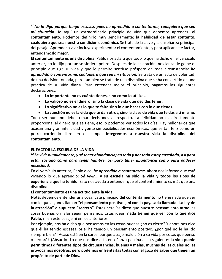$11$  No Io digo porque tenga escasez, pues he aprendido a contentarme, cualquiera que seg mi situación. He aquí un extraordinario principio de vida que debemos aprender: el contentamiento. Podemos definirlo muy sencillamente: la habilidad de estar contento. cualquiera que sea nuestra condición económica. Se trata de la clave y la enseñanza principal del pasaje. Aprender a vivir incluye experimentar el contentamiento, y para aplicar este factor, entendámoslo mejor.

El contentamiento es una disciplina. Pablo nos aclara que todo lo que ha dicho en el versículo anterior, no lo dijo porque se sintiera pobre. Después de la aclaración, nos lanza de golpe el principio que rige su vida y que le permite sentirse próspero en toda circunstancia: he aprendido a contentarme, cualquiera que sea mi situación. Se trata de un acto de voluntad, de una decisión tomada, pero también se trata de una disciplina que se ha convertido en una práctica de su vida diaria. Para entender mejor el principio, hagamos las siguientes declaraciones:

- Lo importante no es cuánto tienes, sino como lo utilizas.
- Lo valioso no es el dinero, sino la clase de vida que decides tener.
- Lo significativo no es lo que te falta sino lo que haces con lo que tienes.

• La cuestión no es la vida que te dan otros, sino la clase de vida que te das a ti mismo. Todo ser humano debe tomar decisiones al respecto. La felicidad no es directamente proporcional al dinero que se tiene, eso lo podemos ver todos los días. Hay millonarios que acusan una gran infelicidad y gente sin posibilidades económicas, que es tan feliz como un potro corriendo libre en el campo. Integremos a nuestra vida la disciplina del contentamiento.

#### EL FACTOR LA ESCUELA DE LA VIDA

### $12$  Sé vivir humildemente, y sé tener abundancia; en todo y por todo estoy enseñado, así para estar saciado como para tener hambre, así para tener abundancia como para padecer necesidad.

En el versículo anterior, Pablo dice: he aprendido a contentarme, ahora nos informa que está viviendo lo que aprendió: Sé vivir... y su escuela ha sido la vida y todos los tipos de experiencia que ha tenido. Esto nos ayuda a entender que el contentamiento es más que una disciplina:

#### El contentamiento es una actitud ante la vida.

Nota: debemos entender una cosa. Este principio del contentamiento no tiene nada que ver con lo que algunos llaman "el pensamiento positivo", ni con la payasada llamada "La ley de la atracción" o supuesto "secreto". Estas herejías dicen que nuestro pensamiento atrae las cosas buenas o malas según pensamos. Estas ideas, nada tienen que ver con lo que dice Pablo, ni en este pasaje ni en los anteriores.

Por ejemplo, nos ha dicho que pensemos en las cosas buenas ¿no es cierto? Y ahora nos dice que él ha tenido escasez. Si él ha tenido un pensamiento positivo, ¿por qué no le ha ido siempre bien? ¿Acaso está en la cárcel porque atrajo maldición a su vida por cosas que pensó o declaró? ¡Absurdo! Lo que nos dice esta enseñanza paulina es lo siguiente: la vida puede permitirnos diferentes tipos de circunstancias, buenas y malas, muchas de las cuales no las provocamos nosotros, pero podemos enfrentarlas todas con el gozo de saber que tienen un propósito de parte de Dios.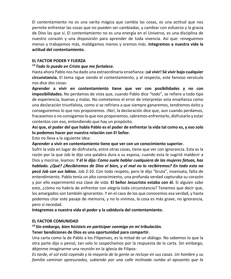El contentamiento no es una varita mágica que cambia las cosas, es una actitud que nos permite enfrentar las cosas que no pueden ser cambiadas, y cambiar con esfuerzo y la gracia de Dios las que sí. El contentamiento no es una energía en el Universo, es una disciplina de nuestro corazón y una disposición para aprender de toda vivencia. Así que: reneguemos menos y trabajemos más, maldigamos menos y oremos más. Integremos a nuestra vida la actitud del contentamiento.

#### **FL FACTOR PODER Y FUFRZA**

#### $13$  Todo lo puedo en Cristo que me fortalece.

Hasta ahora Pablo nos ha dado una extraordinaria enseñanza: jsé vivir! Sé vivir bajo cualquier circunstancia. El tema sigue siendo el contentamiento, y al respecto, este famoso versículo nos dice dos cosas:

Aprender a vivir en contentamiento tiene que ver con posibilidades y no con imposibilidades. No perdamos de vista que, cuando Pablo dice "todo", se refiere a todo tipo de experiencia, buenas y malas. No cometamos el error de interpretar esta enseñanza como una declaración triunfalista, como si se refiriera a que siempre ganaremos, tendremos éxito y conseguiremos lo que nos proponemos. ¡No!, la declaración dice que, aun cuando perdamos, fracasemos o no consigamos lo que nos proponemos, sabremos enfrentarlo, disfrutarlo y estar contentos con eso, entendiendo que hay un propósito.

Así que, el poder del que habla Pablo es el poder de enfrentar la vida tal como es, y eso solo lo podemos hacer por nuestra relación con El Señor.

Esto no lleva a la siguiente idea:

Aprender a vivir en contentamiento tiene que ver con un conocimiento superior.

Sufrir la vida en lugar de disfrutarla, entre otras cosas, tiene que ver con ignorancia. Esta es la razón por la que Job le dijo una palabra dura a su esposa, cuando esta le sugirió maldecir a Dios y morirse, leamos: Y él le dijo: Como suele hablar cualquiera de las mujeres fatuas, has hablado. ¿Qué? ¿Recibiremos de Dios el bien, y el mal no lo recibiremos? En todo esto no pecó Job con sus labios. Job 2:10. Con todo respeto, pero le dijo "bruta", insensata, falta de entendimiento. Pablo tenía un alto conocimiento, una profunda verdad capturaba su corazón y por ello experimentó esa clase de vida: El Señor Jesucristo estaba con él. Si alguien sabe esto, ¿cómo no habría de enfrentar con alegría toda circunstancia? Tenemos que decir que, los amargados son también ignorantes. Y en el caso de los que conocemos esa verdad, y hasta podemos citar este pasaje de memoria, y no lo vivimos, la cosa es más grave, no ignorancia, pero sí necedad.

Integremos a nuestra vida el poder y la sabiduría del contentamiento.

#### **EL FACTOR COMUNIDAD**

## <sup>14</sup> Sin embargo, bien hicisteis en participar conmigo en mi tribulación.

#### Tener bendiciones de Dios es una oportunidad para compartir.

Una carta como la de Pablo a los Filipenses, es la mitad de un diálogo. No sabemos lo que la otra parte dijo o pensó, tan solo lo sospechamos por la respuesta de la carta. Sin embargo, déjenme imaginarme una reunión en la iglesia de Filipos:

Es tarde, el sol está cayendo y la mayoría de la gente se recluye en sus casas. Un hombre y su familia caminan apresurados, subiendo por una calle inclinada rumbo al aposento que la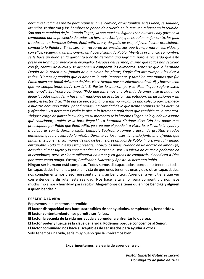hermana Evodia les presta para reunirse. En el camino, otras familias se les unen, se saludan, los niños se abrazan y los hombres se ponen de acuerdo en lo que van a hacer en la reunión. Son una comunidad de fe. Cuando llegan, ya son muchos. Algunos son nuevos y hay gozo en la comunidad por la presencia de todos. La hermana Sintique, que es quien mejor canta, los guía a todos en un hermoso Salmo, Epafrodito ora y, después de eso, el joven Pastor principiante comparte la Palabra. En su sermón, recuerda las enseñanzas que transformaron sus vidas, y con ellos, recuerda a un misionero: un Apóstol llamado Pablo. Mientras pronuncia su nombre, se le hace un nudo en la garganta y hasta derrama una lágrima, porque recuerda que está preso en Roma por predicar el evangelio. Después del sermón, mismo que todos han recibido con fe, cantan de nuevo y se disponen a compartir los alimentos. Antes de que la hermana Evodia de la orden a su familia de que sirvan los platos, Epafrodito interrumpe y les dice a todos: "Hemos aprendido que el amor es lo más importante, y también recordamos que fue Pablo quien nos habló del amor de Dios. Hace tiempo que no sabemos nada de él, y hace mucho que no compartimos nada con él". El Pastor lo interrumpe y le dice: "¿qué sugiere usted hermano?". Epafrodito continúa: "Pido que juntemos una ofrenda de amor y se la hagamos llegar". Todos aplauden y hacen afirmaciones de aceptación. Sin votación, sin discusiones y sin pleito, el Pastor dice: "Me parece perfecto, ahora mismo iniciamos una colecta para bendecir a nuestro hermano Pablo, y añadiremos una cantidad de lo que hemos reunido de los diezmos y ofrendas". La hermana Evodia le dice a la hermana anfitriona que también es la tesorera: "hágase cargo de juntar la ayuda y en su momento se la haremos llegar. Solo queda un asunto qué solucionar, ¿quién se la hará llegar?". La hermana Sintique dice: "No hay nadie más preocupado por Pablo que Epafrodito, yo creo que él puede ir a visitarlo, a llevarle la ayuda y a colaborar con él durante algún tiempo". Epafrodito rompe a llorar de gratitud y todos entienden que ha aceptado la misión. Durante varios meses, la iglesia junta una ofrenda que finalmente ponen en las manos de uno de los mejores amigos de Pablo, hijo espiritual y amigo entrañable. Toda la iglesia está presente, incluso los niños, cuando en un abrazo de amor y fe, despiden al mensajero y lo encomiendan en oración a Dios. La iglesia no es rica o poderosa en lo económico, pero se siente millonaria en amor y en ganas de compartir. Y bendicen a Dios por tener como amigo, Pastor, Predicador, Maestro y Apóstol al hermano Pablo.

Ningún ser humano está completo. Todos somos discapacitados, porque no tenemos todas las capacidades humanas, pero, en vista de que unos tenemos unas y otro otras capacidades, nos complementamos y eso representa una gran bendición. Aprender a vivir, tiene que ver con entender y disfrutar esta realidad. Nos hace falta amor para compartir, y nos hace muchísimo amor y humildad para recibir. Alegrémonos de tener quien nos bendiga y alguien a quien bendecir.

#### **DESAFÍO A LA VIDA**

Repasemos lo que hemos aprendido:

El factor discapacidad nos hace susceptibles de ser ayudados, completados, bendecidos.

El factor contentamiento nos permite ser felices.

El factor la escuela de la vida nos ayuda a aprender a enfrentar lo que sea.

El factor poder y fuerza es la clave de la vida. Podemos porque conocemos al Señor.

El factor comunidad nos hace susceptibles de ser usados para ayudar a otros.

Solo tenemos una vida, sería muy bueno que la viviéramos bien.

#### Experimentemos la alegría de aprender a vivir